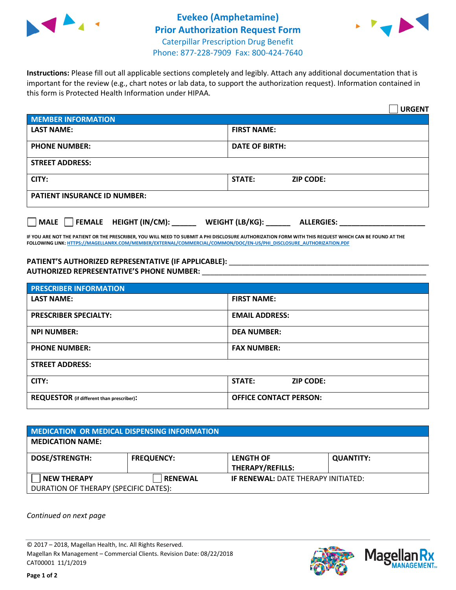



**Instructions:** Please fill out all applicable sections completely and legibly. Attach any additional documentation that is important for the review (e.g., chart notes or lab data, to support the authorization request). Information contained in this form is Protected Health Information under HIPAA.

|                                       | <b>URGENT</b>                        |  |  |  |
|---------------------------------------|--------------------------------------|--|--|--|
| <b>MEMBER INFORMATION</b>             |                                      |  |  |  |
| <b>LAST NAME:</b>                     | <b>FIRST NAME:</b>                   |  |  |  |
| <b>PHONE NUMBER:</b>                  | <b>DATE OF BIRTH:</b>                |  |  |  |
| <b>STREET ADDRESS:</b>                |                                      |  |  |  |
| CITY:                                 | STATE:<br><b>ZIP CODE:</b>           |  |  |  |
| <b>PATIENT INSURANCE ID NUMBER:</b>   |                                      |  |  |  |
| FEMALE HEIGHT (IN/CM):<br><b>MALE</b> | WEIGHT (LB/KG):<br><b>ALLERGIES:</b> |  |  |  |

**IF YOU ARE NOT THE PATIENT OR THE PRESCRIBER, YOU WILL NEED TO SUBMIT A PHI DISCLOSURE AUTHORIZATION FORM WITH THIS REQUEST WHICH CAN BE FOUND AT THE FOLLOWING LINK[: HTTPS://MAGELLANRX.COM/MEMBER/EXTERNAL/COMMERCIAL/COMMON/DOC/EN-US/PHI\\_DISCLOSURE\\_AUTHORIZATION.PDF](https://magellanrx.com/member/external/commercial/common/doc/en-us/PHI_Disclosure_Authorization.pdf)**

PATIENT'S AUTHORIZED REPRESENTATIVE (IF APPLICABLE): \_\_\_\_\_\_\_\_\_\_\_\_\_\_\_\_\_\_\_\_\_\_\_\_\_\_\_ **AUTHORIZED REPRESENTATIVE'S PHONE NUMBER:** \_\_\_\_\_\_\_\_\_\_\_\_\_\_\_\_\_\_\_\_\_\_\_\_\_\_\_\_\_\_\_\_\_\_\_\_\_\_\_\_\_\_\_\_\_\_\_\_\_\_\_\_\_\_\_

| <b>PRESCRIBER INFORMATION</b>             |                                   |  |  |  |
|-------------------------------------------|-----------------------------------|--|--|--|
| <b>LAST NAME:</b>                         | <b>FIRST NAME:</b>                |  |  |  |
| <b>PRESCRIBER SPECIALTY:</b>              | <b>EMAIL ADDRESS:</b>             |  |  |  |
| <b>NPI NUMBER:</b>                        | <b>DEA NUMBER:</b>                |  |  |  |
| <b>PHONE NUMBER:</b>                      | <b>FAX NUMBER:</b>                |  |  |  |
| <b>STREET ADDRESS:</b>                    |                                   |  |  |  |
| CITY:                                     | <b>STATE:</b><br><b>ZIP CODE:</b> |  |  |  |
| REQUESTOR (if different than prescriber): | <b>OFFICE CONTACT PERSON:</b>     |  |  |  |

| <b>MEDICATION OR MEDICAL DISPENSING INFORMATION</b> |                   |                                            |                  |  |  |
|-----------------------------------------------------|-------------------|--------------------------------------------|------------------|--|--|
| <b>MEDICATION NAME:</b>                             |                   |                                            |                  |  |  |
| <b>DOSE/STRENGTH:</b>                               | <b>FREQUENCY:</b> | <b>LENGTH OF</b>                           | <b>QUANTITY:</b> |  |  |
|                                                     |                   | <b>THERAPY/REFILLS:</b>                    |                  |  |  |
| <b>NEW THERAPY</b>                                  | <b>RENEWAL</b>    | <b>IF RENEWAL: DATE THERAPY INITIATED:</b> |                  |  |  |
| DURATION OF THERAPY (SPECIFIC DATES):               |                   |                                            |                  |  |  |

*Continued on next page*